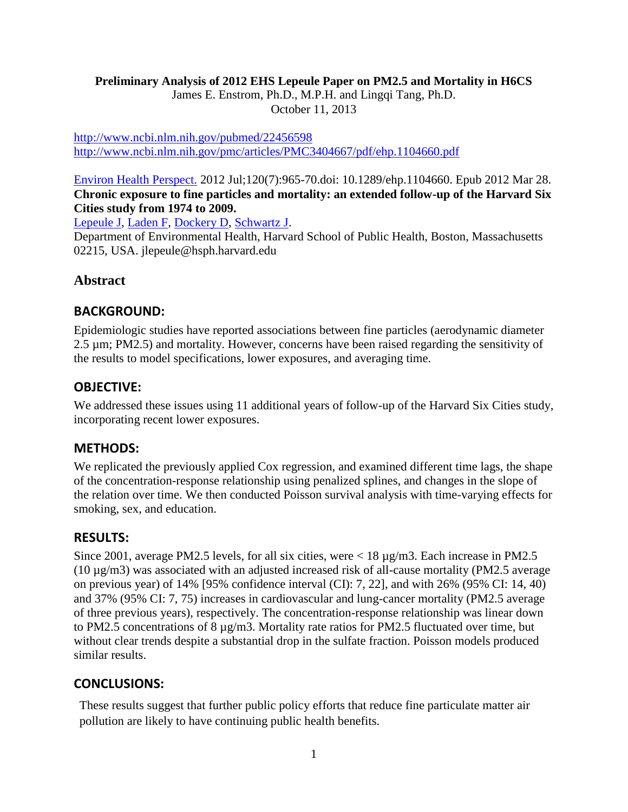#### **Preliminary Analysis of 2012 EHS Lepeule Paper on PM2.5 and Mortality in H6CS**

James E. Enstrom, Ph.D., M.P.H. and Lingqi Tang, Ph.D.

October 11, 2013

<http://www.ncbi.nlm.nih.gov/pubmed/22456598> <http://www.ncbi.nlm.nih.gov/pmc/articles/PMC3404667/pdf/ehp.1104660.pdf>

### [Environ Health Perspect.](http://www.ncbi.nlm.nih.gov/pubmed/22456598) 2012 Jul;120(7):965-70.doi: 10.1289/ehp.1104660. Epub 2012 Mar 28. **Chronic exposure to fine particles and mortality: an extended follow-up of the Harvard Six Cities study from 1974 to 2009.**

[Lepeule J,](http://www.ncbi.nlm.nih.gov/pubmed?term=Lepeule%20J%5BAuthor%5D&cauthor=true&cauthor_uid=22456598) [Laden F,](http://www.ncbi.nlm.nih.gov/pubmed?term=Laden%20F%5BAuthor%5D&cauthor=true&cauthor_uid=22456598) [Dockery D,](http://www.ncbi.nlm.nih.gov/pubmed?term=Dockery%20D%5BAuthor%5D&cauthor=true&cauthor_uid=22456598) [Schwartz J.](http://www.ncbi.nlm.nih.gov/pubmed?term=Schwartz%20J%5BAuthor%5D&cauthor=true&cauthor_uid=22456598)

Department of Environmental Health, Harvard School of Public Health, Boston, Massachusetts 02215, USA. jlepeule@hsph.harvard.edu

# **Abstract**

## **BACKGROUND:**

Epidemiologic studies have reported associations between fine particles (aerodynamic diameter 2.5 µm; PM2.5) and mortality. However, concerns have been raised regarding the sensitivity of the results to model specifications, lower exposures, and averaging time.

## **OBJECTIVE:**

We addressed these issues using 11 additional years of follow-up of the Harvard Six Cities study, incorporating recent lower exposures.

## **METHODS:**

We replicated the previously applied Cox regression, and examined different time lags, the shape of the concentration-response relationship using penalized splines, and changes in the slope of the relation over time. We then conducted Poisson survival analysis with time-varying effects for smoking, sex, and education.

## **RESULTS:**

Since 2001, average PM2.5 levels, for all six cities, were < 18  $\mu$ g/m3. Each increase in PM2.5 (10 µg/m3) was associated with an adjusted increased risk of all-cause mortality (PM2.5 average on previous year) of 14% [95% confidence interval (CI): 7, 22], and with 26% (95% CI: 14, 40) and 37% (95% CI: 7, 75) increases in cardiovascular and lung-cancer mortality (PM2.5 average of three previous years), respectively. The concentration-response relationship was linear down to PM2.5 concentrations of 8 µg/m3. Mortality rate ratios for PM2.5 fluctuated over time, but without clear trends despite a substantial drop in the sulfate fraction. Poisson models produced similar results.

## **CONCLUSIONS:**

These results suggest that further public policy efforts that reduce fine particulate matter air pollution are likely to have continuing public health benefits.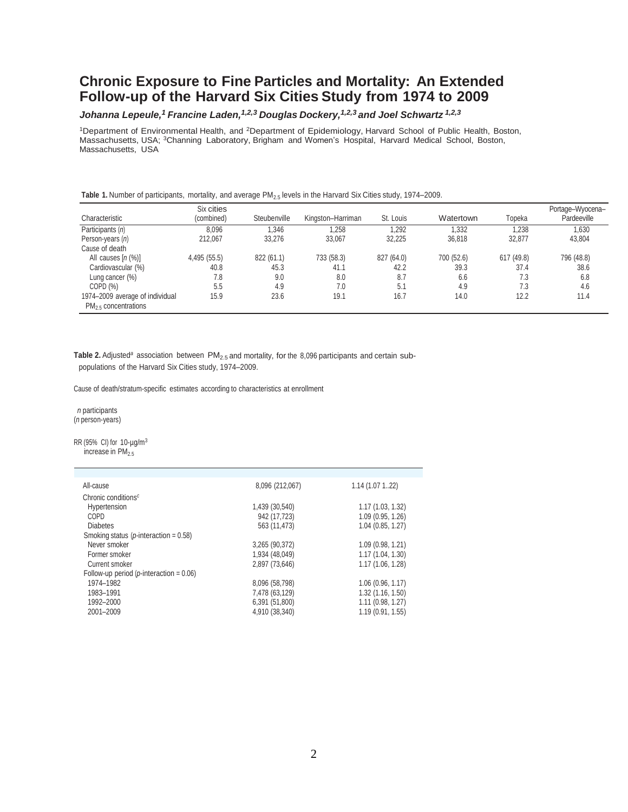# **Chronic Exposure to Fine Particles and Mortality: An Extended Follow-up of the Harvard Six Cities Study from 1974 to 2009**

#### *Johanna Lepeule,<sup>1</sup> Francine Laden,1,2,3 Douglas Dockery,1,2,3 and Joel Schwartz 1,2,3*

<sup>1</sup>Department of Environmental Health, and <sup>2</sup>Department of Epidemiology, Harvard School of Public Health, Boston, Massachusetts, USA; <sup>3</sup>Channing Laboratory, Brigham and Women's Hospital, Harvard Medical School, Boston, Massachusetts, USA

| Table 1. Number of participants, mortality, and average PM <sub>2.5</sub> levels in the Harvard Six Cities study, 1974–2009. |  |  |  |  |  |  |  |
|------------------------------------------------------------------------------------------------------------------------------|--|--|--|--|--|--|--|
|------------------------------------------------------------------------------------------------------------------------------|--|--|--|--|--|--|--|

| Characteristic                                               | Six cities<br>(combined) | Steubenville | Kingston-Harriman | St. Louis  | Watertown  | Topeka     | Portage-Wyocena-<br>Pardeeville |
|--------------------------------------------------------------|--------------------------|--------------|-------------------|------------|------------|------------|---------------------------------|
| Participants (n)                                             | 8,096                    | 1,346        | 1.258             | 1.292      | 1.332      | 1.238      | 1,630                           |
| Person-years (n)                                             | 212.067                  | 33.276       | 33.067            | 32.225     | 36,818     | 32.877     | 43,804                          |
| Cause of death                                               |                          |              |                   |            |            |            |                                 |
| All causes $[n (\%)]$                                        | 4,495 (55.5)             | 822 (61.1)   | 733 (58.3)        | 827 (64.0) | 700 (52.6) | 617 (49.8) | 796 (48.8)                      |
| Cardiovascular (%)                                           | 40.8                     | 45.3         | 41.1              | 42.2       | 39.3       | 37.4       | 38.6                            |
| Lung cancer (%)                                              | 7.8                      | 9.0          | 8.0               | 8.7        | 6.6        | 7.3        | 6.8                             |
| COPD(%)                                                      | 5.5                      | 4.9          | 7.0               | 5.1        | 4.9        | 7.3        | 4.6                             |
| 1974-2009 average of individual<br>$PM_{2.5}$ concentrations | 15.9                     | 23.6         | 19.1              | 16.7       | 14.0       | 12.2       | 11.4                            |

Table 2. Adjusted<sup>a</sup> association between PM<sub>2.5</sub> and mortality, for the 8,096 participants and certain subpopulations of the Harvard Six Cities study, 1974–2009.

Cause of death/stratum-specific estimates according to characteristics at enrollment

*n* participants (*n* person-years)

RR (95% CI) for 10-µg/m<sup>3</sup> increase in  $PM_{2.5}$ 

| All-cause                                         | 8,096 (212,067) | 1.14(1.07122)       |
|---------------------------------------------------|-----------------|---------------------|
| Chronic conditions <sup>c</sup>                   |                 |                     |
| Hypertension                                      | 1,439 (30,540)  | 1.17(1.03, 1.32)    |
| COPD                                              | 942 (17,723)    | 1.09 (0.95, 1.26)   |
| <b>Diabetes</b>                                   | 563 (11,473)    | $1.04$ (0.85, 1.27) |
| Smoking status ( <i>p</i> -interaction = $0.58$ ) |                 |                     |
| Never smoker                                      | 3,265 (90,372)  | 1.09(0.98, 1.21)    |
| Former smoker                                     | 1,934 (48,049)  | 1.17 (1.04, 1.30)   |
| Current smoker                                    | 2,897 (73,646)  | 1.17 (1.06, 1.28)   |
| Follow-up period ( $p$ -interaction = 0.06)       |                 |                     |
| 1974-1982                                         | 8,096 (58,798)  | 1.06(0.96, 1.17)    |
| 1983-1991                                         | 7,478 (63,129)  | 1.32(1.16, 1.50)    |
| 1992-2000                                         | 6,391 (51,800)  | $1.11$ (0.98, 1.27) |
| 2001-2009                                         | 4,910 (38,340)  | 1.19(0.91, 1.55)    |
|                                                   |                 |                     |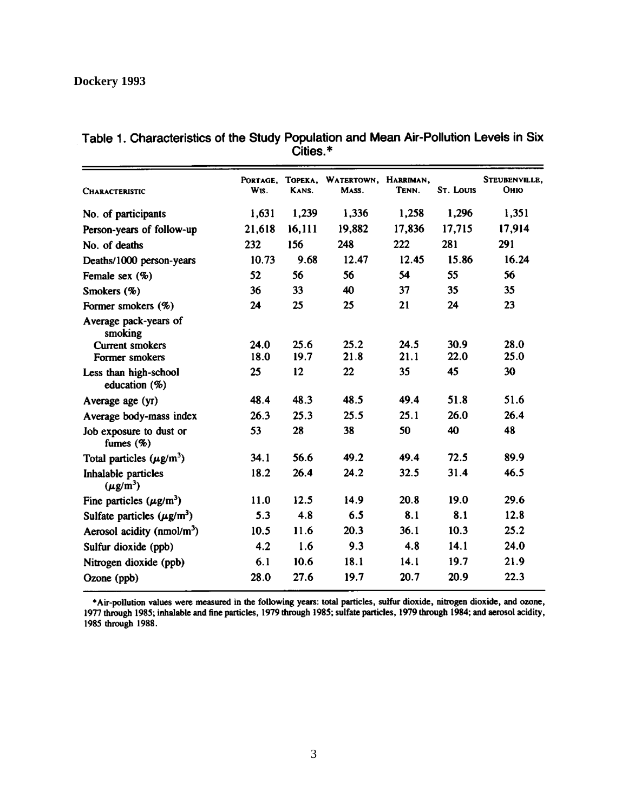| <b>CHARACTERISTIC</b>                                      | PORTAGE.<br>W <sub>IS</sub> . | TOPEKA.<br>KANS. | WATERTOWN, HARRIMAN,<br>MASS. | TENN.        | <b>ST. LOUIS</b> | STEUBENVILLE,<br>Оню |
|------------------------------------------------------------|-------------------------------|------------------|-------------------------------|--------------|------------------|----------------------|
| No. of participants                                        | 1,631                         | 1,239            | 1,336                         | 1,258        | 1,296            | 1,351                |
| Person-years of follow-up                                  | 21,618                        | 16,111           | 19,882                        | 17,836       | 17,715           | 17,914               |
| No. of deaths                                              | 232                           | 156              | 248                           | 222          | 281              | 291                  |
| Deaths/1000 person-years                                   | 10.73                         | 9.68             | 12.47                         | 12.45        | 15.86            | 16.24                |
| Female sex $(\%)$                                          | 52                            | 56               | 56                            | 54           | 55               | 56                   |
| Smokers (%)                                                | 36                            | 33               | 40                            | 37           | 35               | 35                   |
| Former smokers (%)                                         | 24                            | 25               | 25                            | 21           | 24               | 23                   |
| Average pack-years of<br>smoking<br><b>Current smokers</b> | 24.0<br>18.0                  | 25.6<br>19.7     | 25.2<br>21.8                  | 24.5<br>21.1 | 30.9<br>22.0     | 28.0<br>25.0         |
| Former smokers                                             |                               |                  |                               |              |                  |                      |
| Less than high-school<br>education (%)                     | 25                            | 12               | 22                            | 35           | 45               | 30                   |
| Average age (yr)                                           | 48.4                          | 48.3             | 48.5                          | 49.4         | 51.8             | 51.6                 |
| Average body-mass index                                    | 26.3                          | 25.3             | 25.5                          | 25.1         | 26.0             | 26.4                 |
| Job exposure to dust or<br>fumes $(\%)$                    | 53                            | 28               | 38                            | 50           | 40               | 48                   |
| Total particles $(\mu g/m^3)$                              | 34.1                          | 56.6             | 49.2                          | 49.4         | 72.5             | 89.9                 |
| Inhalable particles<br>$(\mu g/m^3)$                       | 18.2                          | 26.4             | 24.2                          | 32.5         | 31.4             | 46.5                 |
| Fine particles $(\mu g/m^3)$                               | 11.0                          | 12.5             | 14.9                          | 20.8         | 19.0             | 29.6                 |
| Sulfate particles $(\mu g/m^3)$                            | 5.3                           | 4.8              | 6.5                           | 8.1          | 8.1              | 12.8                 |
| Aerosol acidity (nmol/m <sup>3</sup> )                     | 10.5                          | 11.6             | 20.3                          | 36.1         | 10.3             | 25.2                 |
| Sulfur dioxide (ppb)                                       | 4.2                           | 1.6              | 9.3                           | 4.8          | 14.1             | 24.0                 |
| Nitrogen dioxide (ppb)                                     | 6.1                           | 10.6             | 18.1                          | 14.1         | 19.7             | 21.9                 |
| Ozone (ppb)                                                | 28.0                          | 27.6             | 19.7                          | 20.7         | 20.9             | 22.3                 |

# Table 1. Characteristics of the Study Population and Mean Air-Pollution Levels in Six<br>Cities.\*

\*Air-pollution values were measured in the following years: total particles, sulfur dioxide, nitrogen dioxide, and ozone, 1977 through 1985; inhalable and fine particles, 1979 through 1985; sulfate particles, 1979 through 1985 through 1988.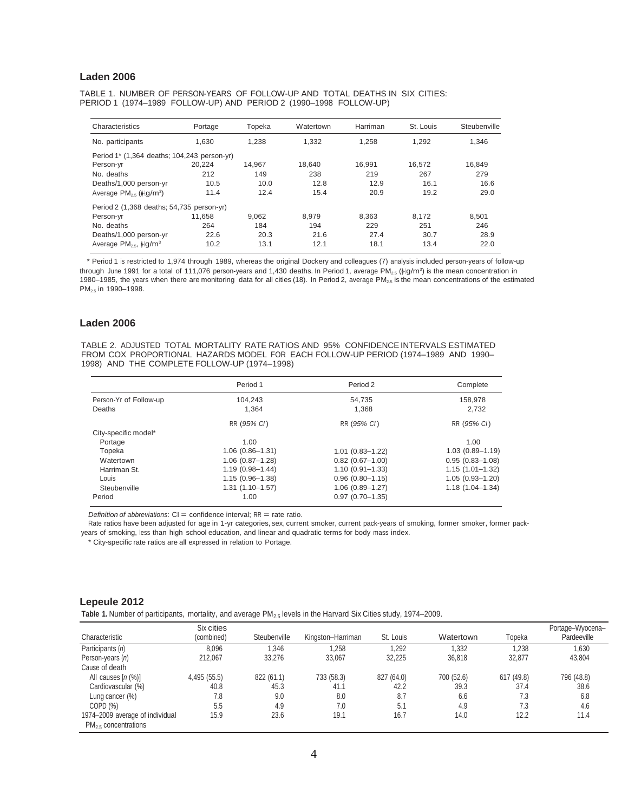#### **Laden 2006**

TABLE 1. NUMBER OF PERSON-YEARS OF FOLLOW-UP AND TOTAL DEATHS IN SIX CITIES: PERIOD 1 (1974–1989 FOLLOW-UP) AND PERIOD 2 (1990–1998 FOLLOW-UP)

| Characteristics                                        | Portage | Topeka | Watertown | Harriman | St. Louis | Steubenville |
|--------------------------------------------------------|---------|--------|-----------|----------|-----------|--------------|
| No. participants                                       | 1.630   | 1.238  | 1.332     | 1.258    | 1.292     | 1.346        |
| Period 1* (1,364 deaths; 104,243 person-yr)            |         |        |           |          |           |              |
| Person-yr                                              | 20.224  | 14.967 | 18.640    | 16.991   | 16.572    | 16.849       |
| No. deaths                                             | 212     | 149    | 238       | 219      | 267       | 279          |
| Deaths/1,000 person-yr                                 | 10.5    | 10.0   | 12.8      | 12.9     | 16.1      | 16.6         |
| Average $PM_{2.5}$ ( $\frac{1}{2}$ lg/m <sup>3</sup> ) | 11.4    | 12.4   | 15.4      | 20.9     | 19.2      | 29.0         |
| Period 2 (1,368 deaths; 54,735 person-yr)              |         |        |           |          |           |              |
| Person-yr                                              | 11.658  | 9.062  | 8.979     | 8.363    | 8.172     | 8.501        |
| No. deaths                                             | 264     | 184    | 194       | 229      | 251       | 246          |
| Deaths/1,000 person-yr                                 | 22.6    | 20.3   | 21.6      | 27.4     | 30.7      | 28.9         |
| Average $PM_{2.5}$ , $\frac{1}{2}$ [g/m <sup>3</sup>   | 10.2    | 13.1   | 12.1      | 18.1     | 13.4      | 22.0         |

\* Period 1 is restricted to 1,974 through 1989, whereas the original Dockery and colleagues (7) analysis included person-years of follow-up through June 1991 for a total of 111,076 person-years and 1,430 deaths. In Period 1, average PM<sub>2.5</sub> ( $\mu$ lg/m<sup>3</sup>) is the mean concentration in 1980–1985, the years when there are monitoring data for all cities (18). In Period 2, average PM2.5 is the mean concentrations of the estimated PM<sub>2.5</sub> in 1990-1998.

#### **Laden 2006**

TABLE 2. ADJUSTED TOTAL MORTALITY RATE RATIOS AND 95% CONFIDENCE INTERVALS ESTIMATED FROM COX PROPORTIONAL HAZARDS MODEL FOR EACH FOLLOW-UP PERIOD (1974–1989 AND 1990– 1998) AND THE COMPLETE FOLLOW-UP (1974–1998)

|                        | Period 1            | Period 2            | Complete            |
|------------------------|---------------------|---------------------|---------------------|
| Person-Yr of Follow-up | 104.243             | 54.735              | 158.978             |
| Deaths                 | 1.364               | 1.368               | 2.732               |
|                        | RR (95% CI)         | RR (95% CI)         | RR (95% CI)         |
| City-specific model*   |                     |                     |                     |
| Portage                | 1.00                |                     | 1.00                |
| Topeka                 | $1.06(0.86 - 1.31)$ | $1.01(0.83 - 1.22)$ | $1.03(0.89 - 1.19)$ |
| Watertown              | $1.06(0.87 - 1.28)$ | $0.82$ (0.67-1.00)  | $0.95(0.83 - 1.08)$ |
| Harriman St.           | $1.19(0.98 - 1.44)$ | $1.10(0.91 - 1.33)$ | $1.15(1.01 - 1.32)$ |
| Louis                  | $1.15(0.96 - 1.38)$ | $0.96(0.80 - 1.15)$ | $1.05(0.93 - 1.20)$ |
| Steubenville           | $1.31(1.10 - 1.57)$ | $1.06(0.89 - 1.27)$ | $1.18(1.04 - 1.34)$ |
| Period                 | 1.00                | $0.97(0.70 - 1.35)$ |                     |

*Definition* of *abbreviations*: CI = confidence interval; RR = rate ratio.

Rate ratios have been adjusted for age in 1-yr categories, sex, current smoker, current pack-years of smoking, former smoker, former packyears of smoking, less than high school education, and linear and quadratic terms for body mass index.

\* City-specific rate ratios are all expressed in relation to Portage.

#### **Lepeule 2012**

Table 1. Number of participants, mortality, and average PM<sub>2.5</sub> levels in the Harvard Six Cities study, 1974–2009.

| Characteristic                                               | Six cities<br>(combined) | Steubenville | Kingston-Harriman | St. Louis  | Watertown  | Topeka     | Portage-Wyocena-<br>Pardeeville |
|--------------------------------------------------------------|--------------------------|--------------|-------------------|------------|------------|------------|---------------------------------|
| Participants (n)                                             | 8.096                    | 1.346        | .258              | 1.292      | 1.332      | 1.238      | 1,630                           |
| Person-years (n)                                             | 212.067                  | 33,276       | 33.067            | 32.225     | 36,818     | 32.877     | 43,804                          |
| Cause of death                                               |                          |              |                   |            |            |            |                                 |
| All causes $[n(\%)]$                                         | 4,495 (55.5)             | 822 (61.1)   | 733 (58.3)        | 827 (64.0) | 700 (52.6) | 617 (49.8) | 796 (48.8)                      |
| Cardiovascular (%)                                           | 40.8                     | 45.3         | 41.1              | 42.2       | 39.3       | 37.4       | 38.6                            |
| Lung cancer (%)                                              | 7.8                      | 9.0          | 8.0               | 8.7        | 6.6        | 7.3        | 6.8                             |
| COPD (%)                                                     | 5.5                      | 4.9          | 7.0               | 5.1        | 4.9        | 7.3        | 4.6                             |
| 1974-2009 average of individual<br>$PM_{2.5}$ concentrations | 15.9                     | 23.6         | 19.1              | 16.7       | 14.0       | 12.2       | 11.4                            |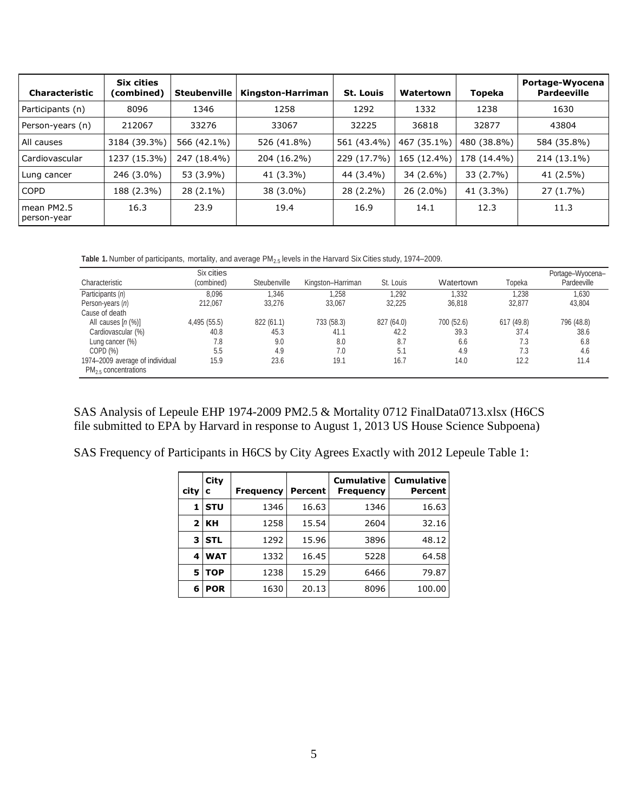| <b>Characteristic</b>     | <b>Six cities</b><br>(combined) | <b>Steubenville</b> | Kingston-Harriman | <b>St. Louis</b> | Watertown   | Topeka      | Portage-Wyocena<br><b>Pardeeville</b> |
|---------------------------|---------------------------------|---------------------|-------------------|------------------|-------------|-------------|---------------------------------------|
| Participants (n)          | 8096                            | 1346                | 1258              | 1292             | 1332        | 1238        | 1630                                  |
| Person-years (n)          | 212067                          | 33276               | 33067             | 32225            | 36818       | 32877       | 43804                                 |
| All causes                | 3184 (39.3%)                    | 566 (42.1%)         | 526 (41.8%)       | 561 (43.4%)      | 467 (35.1%) | 480 (38.8%) | 584 (35.8%)                           |
| Cardiovascular            | 1237 (15.3%)                    | 247 (18.4%)         | 204 (16.2%)       | 229 (17.7%)      | 165 (12.4%) | 178 (14.4%) | 214 (13.1%)                           |
| Lung cancer               | 246 (3.0%)                      | 53 (3.9%)           | 41 (3.3%)         | 44 (3.4%)        | 34 (2.6%)   | $33(2.7\%)$ | 41 (2.5%)                             |
| COPD                      | 188 (2.3%)                      | 28 (2.1%)           | 38 (3.0%)         | 28 (2.2%)        | $26(2.0\%)$ | 41 (3.3%)   | $27(1.7\%)$                           |
| mean PM2.5<br>person-year | 16.3                            | 23.9                | 19.4              | 16.9             | 14.1        | 12.3        | 11.3                                  |

Table 1. Number of participants, mortality, and average PM<sub>2.5</sub> levels in the Harvard Six Cities study, 1974–2009.

| Characteristic                                               | Six cities<br>(combined) | Steubenville | Kingston-Harriman | St. Louis  | Watertown  | Topeka     | Portage-Wyocena-<br>Pardeeville |
|--------------------------------------------------------------|--------------------------|--------------|-------------------|------------|------------|------------|---------------------------------|
| Participants (n)                                             | 8,096                    | 1.346        | .258              | 1.292      | 1,332      | 1,238      | 1,630                           |
| Person-years (n)                                             | 212.067                  | 33.276       | 33.067            | 32.225     | 36.818     | 32.877     | 43.804                          |
| Cause of death                                               |                          |              |                   |            |            |            |                                 |
| All causes $[n(\%)]$                                         | 4,495 (55.5)             | 822 (61.1)   | 733 (58.3)        | 827 (64.0) | 700 (52.6) | 617 (49.8) | 796 (48.8)                      |
| Cardiovascular (%)                                           | 40.8                     | 45.3         | 41.1              | 42.2       | 39.3       | 37.4       | 38.6                            |
| Lung cancer $(\%)$                                           | 7.8                      | 9.0          | 8.0               | 8.7        | 6.6        | 7.3        | 6.8                             |
| COPD(%)                                                      | 5.5                      | 4.9          | 7.0               | 5.1        | 4.9        | 7.3        | 4.6                             |
| 1974-2009 average of individual<br>$PM_{2.5}$ concentrations | 15.9                     | 23.6         | 19.1              | 16.7       | 14.0       | 12.2       | 11.4                            |

SAS Analysis of Lepeule EHP 1974-2009 PM2.5 & Mortality 0712 FinalData0713.xlsx (H6CS file submitted to EPA by Harvard in response to August 1, 2013 US House Science Subpoena)

SAS Frequency of Participants in H6CS by City Agrees Exactly with 2012 Lepeule Table 1:

| city           | City<br>c  | <b>Frequency</b> | Percent | <b>Cumulative</b><br><b>Frequency</b> | <b>Cumulative</b><br><b>Percent</b> |
|----------------|------------|------------------|---------|---------------------------------------|-------------------------------------|
| 1              | <b>STU</b> | 1346             | 16.63   | 1346                                  | 16.63                               |
| 2 <sup>1</sup> | KH         | 1258             | 15.54   | 2604                                  | 32.16                               |
| 3              | <b>STL</b> | 1292             | 15.96   | 3896                                  | 48.12                               |
| 4              | <b>WAT</b> | 1332             | 16.45   | 5228                                  | 64.58                               |
| 5              | <b>TOP</b> | 1238             | 15.29   | 6466                                  | 79.87                               |
| 6              | <b>POR</b> | 1630             | 20.13   | 8096                                  | 100.00                              |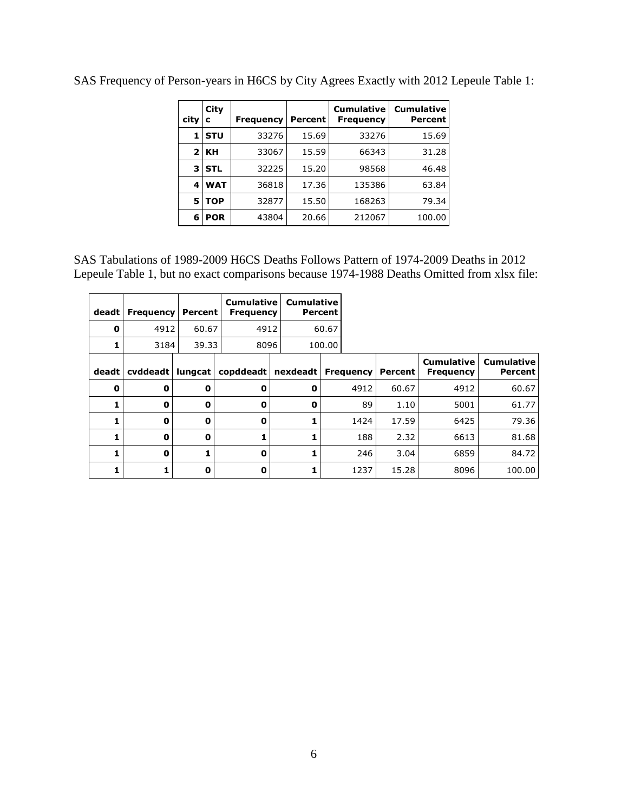| city | City<br>с  | <b>Frequency</b> | Percent | <b>Cumulative</b><br><b>Frequency</b> | <b>Cumulative</b><br>Percent |
|------|------------|------------------|---------|---------------------------------------|------------------------------|
| 1    | <b>STU</b> | 33276            | 15.69   | 33276                                 | 15.69                        |
| 2    | KН         | 33067            | 15.59   | 66343                                 | 31.28                        |
| з    | <b>STL</b> | 32225            | 15.20   | 98568                                 | 46.48                        |
| 4    | <b>WAT</b> | 36818            | 17.36   | 135386                                | 63.84                        |
| 5    | <b>TOP</b> | 32877            | 15.50   | 168263                                | 79.34                        |
| 6    | <b>POR</b> | 43804            | 20.66   | 212067                                | 100.00                       |

SAS Frequency of Person-years in H6CS by City Agrees Exactly with 2012 Lepeule Table 1:

SAS Tabulations of 1989-2009 H6CS Deaths Follows Pattern of 1974-2009 Deaths in 2012 Lepeule Table 1, but no exact comparisons because 1974-1988 Deaths Omitted from xlsx file:

| deadt | <b>Frequency</b> | Percent | <b>Cumulative</b><br><b>Frequency</b> | <b>Cumulative</b> | Percent |                  |         |                                       |                                     |
|-------|------------------|---------|---------------------------------------|-------------------|---------|------------------|---------|---------------------------------------|-------------------------------------|
| 0     | 4912             | 60.67   | 4912                                  |                   | 60.67   |                  |         |                                       |                                     |
| 1     | 3184             | 39.33   | 8096                                  |                   | 100.00  |                  |         |                                       |                                     |
| deadt | cvddeadt         | lungcat | copddeadt                             | nexdeadt          |         | <b>Frequency</b> | Percent | <b>Cumulative</b><br><b>Frequency</b> | <b>Cumulative</b><br><b>Percent</b> |
| 0     | 0                | 0       | 0                                     | 0                 |         | 4912             | 60.67   | 4912                                  | 60.67                               |
| 1     | O                | 0       | 0                                     | 0                 |         | 89               | 1.10    | 5001                                  | 61.77                               |
| 1     | O                | 0       | 0                                     | 1                 |         | 1424             | 17.59   | 6425                                  | 79.36                               |
| 1     | 0                | 0       |                                       | 1                 |         | 188              | 2.32    | 6613                                  | 81.68                               |
| 1     | 0                |         | 0                                     | 1                 |         | 246              | 3.04    | 6859                                  | 84.72                               |
| 1     |                  | 0       | 0                                     |                   |         | 1237             | 15.28   | 8096                                  | 100.00                              |